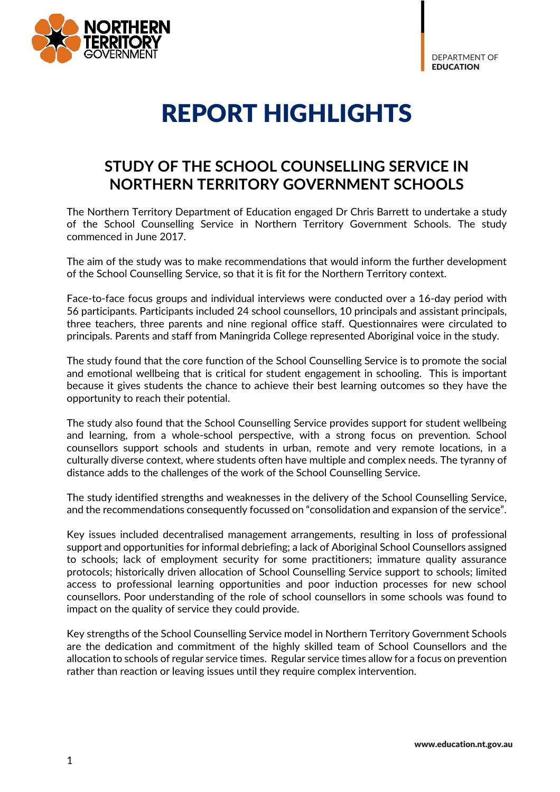DEPARTMENT OF *EDUCATION* 



## REPORT HIGHLIGHTS

## **STUDY OF THE SCHOOL COUNSELLING SERVICE IN NORTHERN TERRITORY GOVERNMENT SCHOOLS**

The Northern Territory Department of Education engaged Dr Chris Barrett to undertake a study of the School Counselling Service in Northern Territory Government Schools. The study commenced in June 2017.

The aim of the study was to make recommendations that would inform the further development of the School Counselling Service, so that it is fit for the Northern Territory context.

Face-to-face focus groups and individual interviews were conducted over a 16-day period with 56 participants. Participants included 24 school counsellors, 10 principals and assistant principals, three teachers, three parents and nine regional office staff. Questionnaires were circulated to principals. Parents and staff from Maningrida College represented Aboriginal voice in the study.

The study found that the core function of the School Counselling Service is to promote the social and emotional wellbeing that is critical for student engagement in schooling. This is important because it gives students the chance to achieve their best learning outcomes so they have the opportunity to reach their potential.

The study also found that the School Counselling Service provides support for student wellbeing and learning, from a whole-school perspective, with a strong focus on prevention. School counsellors support schools and students in urban, remote and very remote locations, in a culturally diverse context, where students often have multiple and complex needs. The tyranny of distance adds to the challenges of the work of the School Counselling Service.

The study identified strengths and weaknesses in the delivery of the School Counselling Service, and the recommendations consequently focussed on "consolidation and expansion of the service".

Key issues included decentralised management arrangements, resulting in loss of professional support and opportunities for informal debriefing; a lack of Aboriginal School Counsellors assigned to schools; lack of employment security for some practitioners; immature quality assurance protocols; historically driven allocation of School Counselling Service support to schools; limited access to professional learning opportunities and poor induction processes for new school counsellors. Poor understanding of the role of school counsellors in some schools was found to impact on the quality of service they could provide.

Key strengths of the School Counselling Service model in Northern Territory Government Schools are the dedication and commitment of the highly skilled team of School Counsellors and the allocation to schools of regular service times. Regular service times allow for a focus on prevention rather than reaction or leaving issues until they require complex intervention.